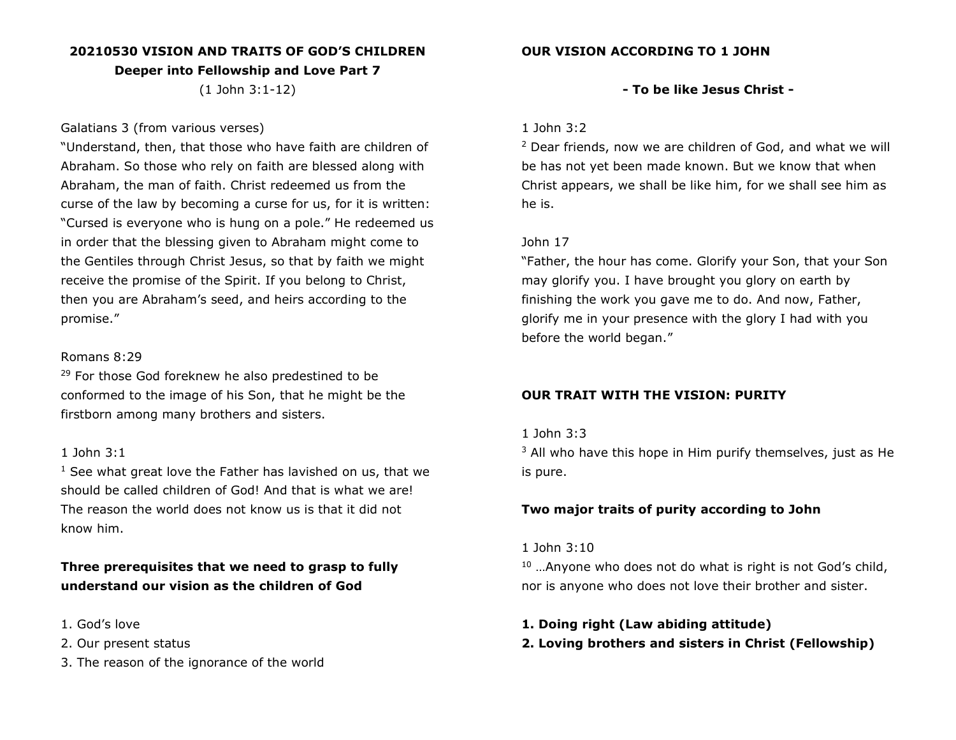### **20210530 VISION AND TRAITS OF GOD'S CHILDREN**

**Deeper into Fellowship and Love Part 7**

(1 John 3:1-12)

#### Galatians 3 (from various verses)

"Understand, then, that those who have faith are children of Abraham. So those who rely on faith are blessed along with Abraham, the man of faith. Christ redeemed us from the curse of the law by becoming a curse for us, for it is written: "Cursed is everyone who is hung on a pole." He redeemed us in order that the blessing given to Abraham might come to the Gentiles through Christ Jesus, so that by faith we might receive the promise of the Spirit. If you belong to Christ, then you are Abraham's seed, and heirs according to the promise."

#### Romans 8:29

<sup>29</sup> For those God foreknew he also predestined to be conformed to the image of his Son, that he might be the firstborn among many brothers and sisters.

#### 1 John 3:1

 $1$  See what great love the Father has lavished on us, that we should be called children of God! And that is what we are! The reason the world does not know us is that it did not know him.

**Three prerequisites that we need to grasp to fully understand our vision as the children of God**

- 1. God's love
- 2. Our present status
- 3. The reason of the ignorance of the world

### **- To be like Jesus Christ -**

#### 1 John 3:2

<sup>2</sup> Dear friends, now we are children of God, and what we will be has not yet been made known. But we know that when Christ appears, we shall be like him, for we shall see him as he is.

### John 17

"Father, the hour has come. Glorify your Son, that your Son may glorify you. I have brought you glory on earth by finishing the work you gave me to do. And now, Father, glorify me in your presence with the glory I had with you before the world began."

### **OUR TRAIT WITH THE VISION: PURITY**

### 1 John 3:3

 $3$  All who have this hope in Him purify themselves, just as He is pure.

### **Two major traits of purity according to John**

#### 1 John 3:10

 $10$  ... Anyone who does not do what is right is not God's child, nor is anyone who does not love their brother and sister.

#### **1. Doing right (Law abiding attitude)**

### **2. Loving brothers and sisters in Christ (Fellowship)**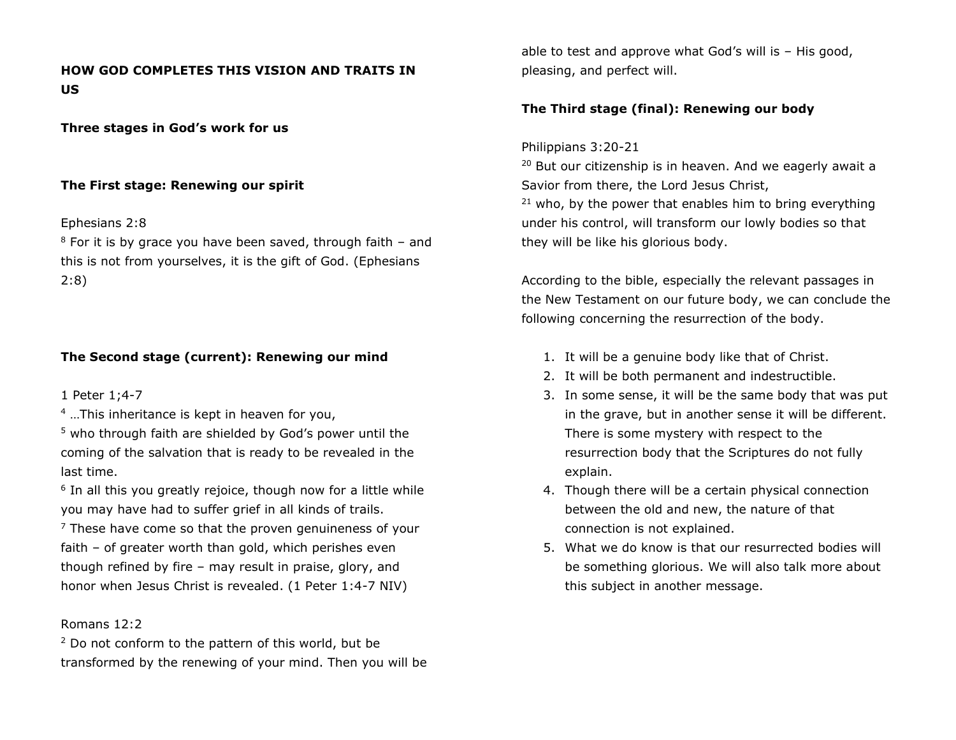# **HOW GOD COMPLETES THIS VISION AND TRAITS IN US**

**Three stages in God's work for us**

### **The First stage: Renewing our spirit**

#### Ephesians 2:8

 $8$  For it is by grace you have been saved, through faith  $-$  and this is not from yourselves, it is the gift of God. (Ephesians 2:8)

# **The Second stage (current): Renewing our mind**

1 Peter 1;4-7

<sup>4</sup> …This inheritance is kept in heaven for you,

<sup>5</sup> who through faith are shielded by God's power until the coming of the salvation that is ready to be revealed in the last time.

<sup>6</sup> In all this you greatly rejoice, though now for a little while you may have had to suffer grief in all kinds of trails.

 $7$  These have come so that the proven genuineness of your faith – of greater worth than gold, which perishes even though refined by fire – may result in praise, glory, and honor when Jesus Christ is revealed. (1 Peter 1:4-7 NIV)

#### Romans 12:2

 $2$  Do not conform to the pattern of this world, but be transformed by the renewing of your mind. Then you will be able to test and approve what God's will is – His good, pleasing, and perfect will.

# **The Third stage (final): Renewing our body**

### Philippians 3:20-21

<sup>20</sup> But our citizenship is in heaven. And we eagerly await a Savior from there, the Lord Jesus Christ,  $21$  who, by the power that enables him to bring everything under his control, will transform our lowly bodies so that they will be like his glorious body.

According to the bible, especially the relevant passages in the New Testament on our future body, we can conclude the following concerning the resurrection of the body.

- 1. It will be a genuine body like that of Christ.
- 2. It will be both permanent and indestructible.
- 3. In some sense, it will be the same body that was put in the grave, but in another sense it will be different. There is some mystery with respect to the resurrection body that the Scriptures do not fully explain.
- 4. Though there will be a certain physical connection between the old and new, the nature of that connection is not explained.
- 5. What we do know is that our resurrected bodies will be something glorious. We will also talk more about this subject in another message.